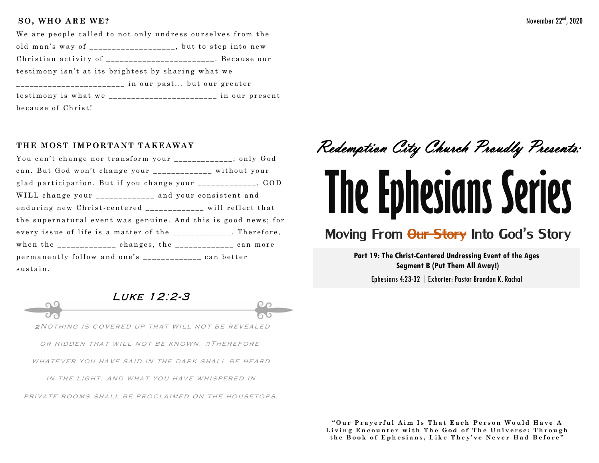#### SO, WHO ARE WE?

| We are people called to not only undress ourselves from the |  |
|-------------------------------------------------------------|--|
| old man's way of ___________________, but to step into new  |  |
| Christian activity of ______________________. Because our   |  |
| testimony isn't at its brightest by sharing what we         |  |
|                                                             |  |
| testimony is what we ______________________ in our present  |  |
| because of Christ!                                          |  |

#### THE MOST IMPORTANT TAKEAWAY

You can't change nor transform your \_\_\_\_\_\_\_\_\_\_\_\_; only God can. But God won't change your \_\_\_\_\_\_\_\_\_\_\_\_ without your glad participation. But if you change your \_\_\_\_\_\_\_\_\_\_\_\_\_, GOD WILL change your \_\_\_\_\_\_\_\_\_\_\_\_\_ and your consistent and enduring new Christ-centered will reflect that the supernatural event was genuine. And this is good news; for every issue of life is a matter of the \_\_\_\_\_\_\_\_\_\_\_\_. Therefore, when the  $\frac{1}{2}$   $\frac{1}{2}$   $\frac{1}{2}$   $\frac{1}{2}$   $\frac{1}{2}$   $\frac{1}{2}$   $\frac{1}{2}$   $\frac{1}{2}$   $\frac{1}{2}$   $\frac{1}{2}$   $\frac{1}{2}$   $\frac{1}{2}$   $\frac{1}{2}$   $\frac{1}{2}$   $\frac{1}{2}$   $\frac{1}{2}$   $\frac{1}{2}$   $\frac{1}{2}$   $\frac{1}{2}$   $\frac{1}{2}$   $\frac{1}{2}$   $\$ permanently follow and one's \_\_\_\_\_\_\_\_\_\_\_\_\_\_ can better sustain.



# Moving From <del>Our Story</del> Into God's Story

Part 19: The Christ-Centered Undressing Event of the Ages **Segment B (Put Them All Away!)** 

Ephesians 4:23-32 | Exhorter: Pastor Brandon K. Rachal

LUKE 12:2-3 2 NOTHING IS COVERED UP THAT WILL NOT BE REVEALED OR HIDDEN THAT WILL NOT BE KNOWN. 3 THEREFORE

WHATEVER YOU HAVE SAID IN THE DARK SHALL BE HEARD

IN THE LIGHT, AND WHAT YOU HAVE WHISPERED IN

PRIVATE ROOMS SHALL BE PROCLAIMED ON THE HOUSETOPS.

"Our Prayerful Aim Is That Each Person Would Have A Living Encounter with The God of The Universe; Through the Book of Ephesians, Like They've Never Had Before"